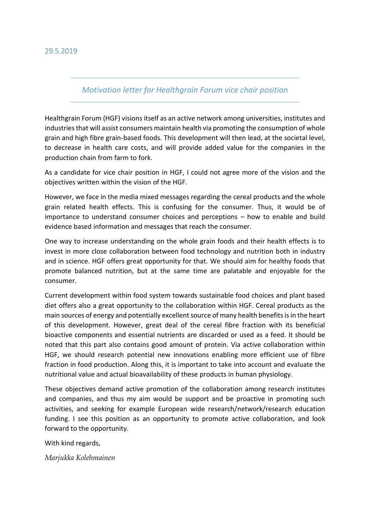## 29.5.2019

## *Motivation letter for Healthgrain Forum vice chair position*

Healthgrain Forum (HGF) visions itself as an active network among universities, institutes and industries that will assist consumers maintain health via promoting the consumption of whole grain and high fibre grain-based foods. This development will then lead, at the societal level, to decrease in health care costs, and will provide added value for the companies in the production chain from farm to fork.

As a candidate for vice chair position in HGF, I could not agree more of the vision and the objectives written within the vision of the HGF.

However, we face in the media mixed messages regarding the cereal products and the whole grain related health effects. This is confusing for the consumer. Thus, it would be of importance to understand consumer choices and perceptions – how to enable and build evidence based information and messages that reach the consumer.

One way to increase understanding on the whole grain foods and their health effects is to invest in more close collaboration between food technology and nutrition both in industry and in science. HGF offers great opportunity for that. We should aim for healthy foods that promote balanced nutrition, but at the same time are palatable and enjoyable for the consumer.

Current development within food system towards sustainable food choices and plant based diet offers also a great opportunity to the collaboration within HGF. Cereal products as the main sources of energy and potentially excellent source of many health benefits is in the heart of this development. However, great deal of the cereal fibre fraction with its beneficial bioactive components and essential nutrients are discarded or used as a feed. It should be noted that this part also contains good amount of protein. Via active collaboration within HGF, we should research potential new innovations enabling more efficient use of fibre fraction in food production. Along this, it is important to take into account and evaluate the nutritional value and actual bioavailability of these products in human physiology.

These objectives demand active promotion of the collaboration among research institutes and companies, and thus my aim would be support and be proactive in promoting such activities, and seeking for example European wide research/network/research education funding. I see this position as an opportunity to promote active collaboration, and look forward to the opportunity.

With kind regards,

*Marjukka Kolehmainen*